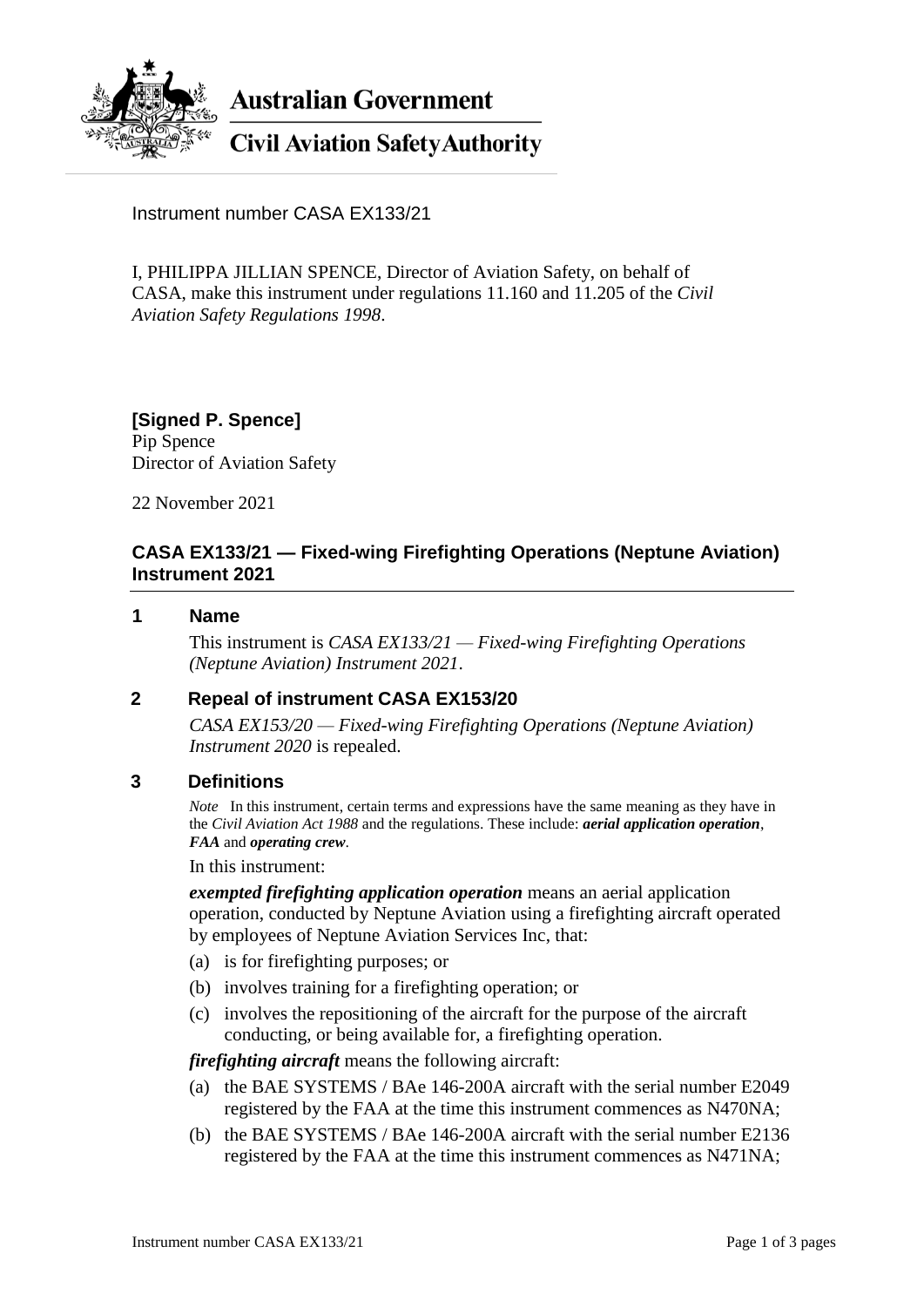

**Australian Government** 

# **Civil Aviation Safety Authority**

Instrument number CASA EX133/21

I, PHILIPPA JILLIAN SPENCE, Director of Aviation Safety, on behalf of CASA, make this instrument under regulations 11.160 and 11.205 of the *Civil Aviation Safety Regulations 1998*.

**[Signed P. Spence]** Pip Spence Director of Aviation Safety

22 November 2021

# **CASA EX133/21 — Fixed-wing Firefighting Operations (Neptune Aviation) Instrument 2021**

#### **1 Name**

This instrument is *CASA EX133/21 — Fixed-wing Firefighting Operations (Neptune Aviation) Instrument 2021*.

### **2 Repeal of instrument CASA EX153/20**

*CASA EX153/20 — Fixed-wing Firefighting Operations (Neptune Aviation) Instrument 2020* is repealed.

### **3 Definitions**

*Note* In this instrument, certain terms and expressions have the same meaning as they have in the *Civil Aviation Act 1988* and the regulations. These include: *aerial application operation*, *FAA* and *operating crew*.

#### In this instrument:

*exempted firefighting application operation* means an aerial application operation, conducted by Neptune Aviation using a firefighting aircraft operated by employees of Neptune Aviation Services Inc, that:

- (a) is for firefighting purposes; or
- (b) involves training for a firefighting operation; or
- (c) involves the repositioning of the aircraft for the purpose of the aircraft conducting, or being available for, a firefighting operation.

*firefighting aircraft* means the following aircraft:

- (a) the BAE SYSTEMS / BAe 146-200A aircraft with the serial number E2049 registered by the FAA at the time this instrument commences as N470NA;
- (b) the BAE SYSTEMS / BAe 146-200A aircraft with the serial number E2136 registered by the FAA at the time this instrument commences as N471NA;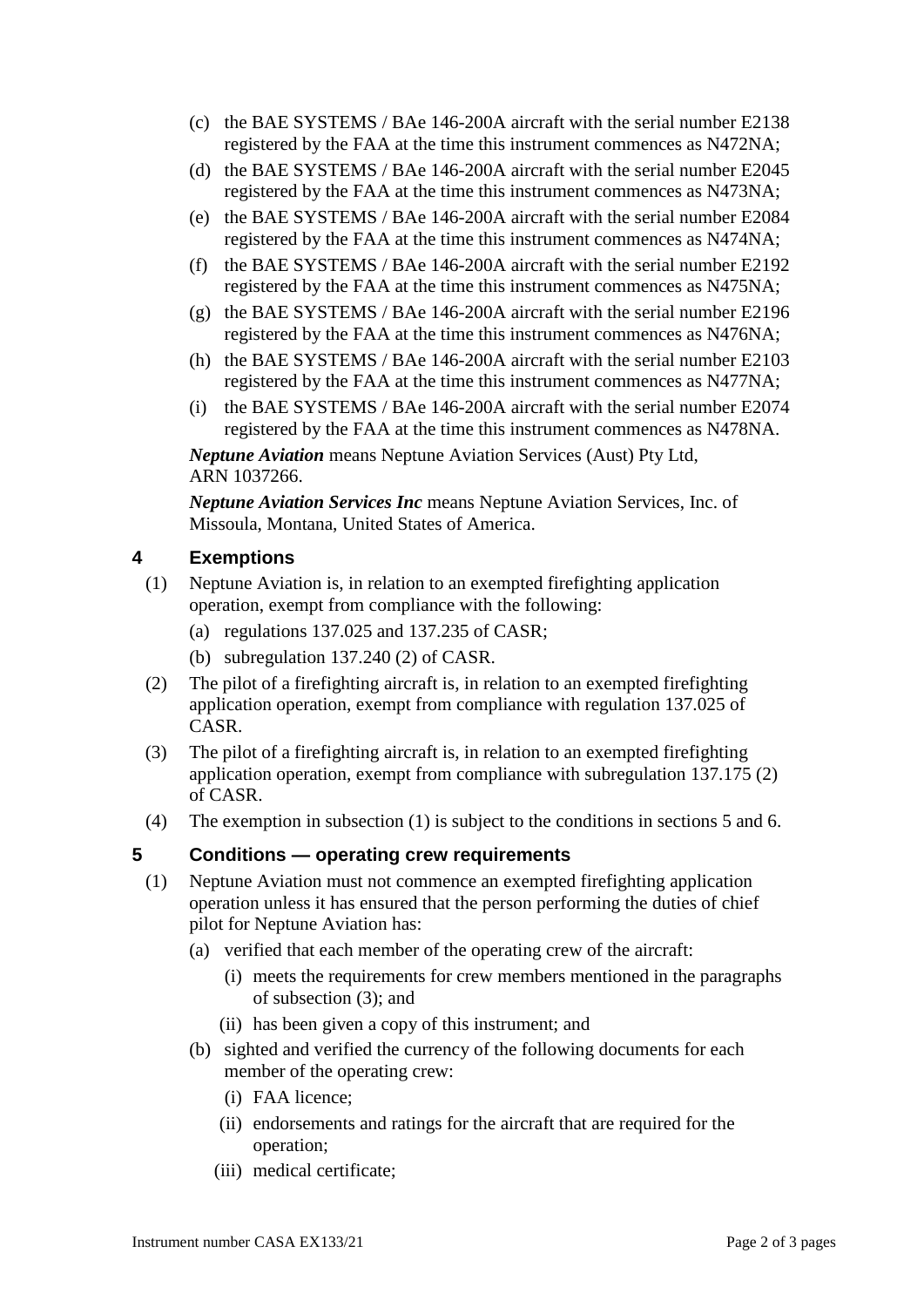- (c) the BAE SYSTEMS / BAe 146-200A aircraft with the serial number E2138 registered by the FAA at the time this instrument commences as N472NA;
- (d) the BAE SYSTEMS / BAe 146-200A aircraft with the serial number E2045 registered by the FAA at the time this instrument commences as N473NA;
- (e) the BAE SYSTEMS / BAe 146-200A aircraft with the serial number E2084 registered by the FAA at the time this instrument commences as N474NA;
- (f) the BAE SYSTEMS / BAe 146-200A aircraft with the serial number E2192 registered by the FAA at the time this instrument commences as N475NA;
- (g) the BAE SYSTEMS / BAe 146-200A aircraft with the serial number E2196 registered by the FAA at the time this instrument commences as N476NA;
- (h) the BAE SYSTEMS / BAe 146-200A aircraft with the serial number E2103 registered by the FAA at the time this instrument commences as N477NA;
- (i) the BAE SYSTEMS / BAe 146-200A aircraft with the serial number E2074 registered by the FAA at the time this instrument commences as N478NA.

*Neptune Aviation* means Neptune Aviation Services (Aust) Pty Ltd, ARN 1037266.

*Neptune Aviation Services Inc* means Neptune Aviation Services, Inc. of Missoula, Montana, United States of America.

# **4 Exemptions**

- (1) Neptune Aviation is, in relation to an exempted firefighting application operation, exempt from compliance with the following:
	- (a) regulations 137.025 and 137.235 of CASR;
	- (b) subregulation 137.240 (2) of CASR.
- (2) The pilot of a firefighting aircraft is, in relation to an exempted firefighting application operation, exempt from compliance with regulation 137.025 of CASR.
- (3) The pilot of a firefighting aircraft is, in relation to an exempted firefighting application operation, exempt from compliance with subregulation 137.175 (2) of CASR.
- (4) The exemption in subsection (1) is subject to the conditions in sections 5 and 6.

## **5 Conditions — operating crew requirements**

- (1) Neptune Aviation must not commence an exempted firefighting application operation unless it has ensured that the person performing the duties of chief pilot for Neptune Aviation has:
	- (a) verified that each member of the operating crew of the aircraft:
		- (i) meets the requirements for crew members mentioned in the paragraphs of subsection (3); and
		- (ii) has been given a copy of this instrument; and
	- (b) sighted and verified the currency of the following documents for each member of the operating crew:
		- (i) FAA licence;
		- (ii) endorsements and ratings for the aircraft that are required for the operation;
		- (iii) medical certificate;